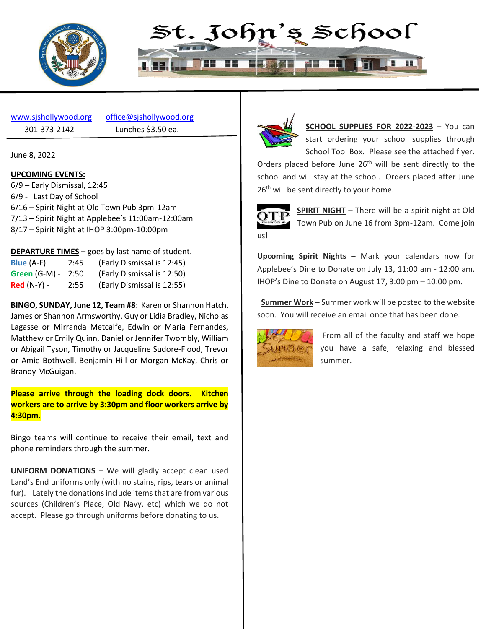



[www.sjshollywood.org](http://www.sjshollywood.org/) [office@sjshollywood.org](mailto:office@sjshollywood.org) 301-373-2142 Lunches \$3.50 ea.

June 8, 2022

#### **UPCOMING EVENTS:**

6/9 – Early Dismissal, 12:45 6/9 - Last Day of School 6/16 – Spirit Night at Old Town Pub 3pm-12am 7/13 – Spirit Night at Applebee's 11:00am-12:00am 8/17 – Spirit Night at IHOP 3:00pm-10:00pm

#### **DEPARTURE TIMES** – goes by last name of student.

| Blue $(A-F)$ –  | 2:45 | (Early Dismissal is 12:45) |
|-----------------|------|----------------------------|
| Green $(G-M)$ - | 2:50 | (Early Dismissal is 12:50) |
| $Red(N-Y)$ -    | 2:55 | (Early Dismissal is 12:55) |

**BINGO, SUNDAY, June 12, Team #8**: Karen or Shannon Hatch, James or Shannon Armsworthy, Guy or Lidia Bradley, Nicholas Lagasse or Mirranda Metcalfe, Edwin or Maria Fernandes, Matthew or Emily Quinn, Daniel or Jennifer Twombly, William or Abigail Tyson, Timothy or Jacqueline Sudore-Flood, Trevor or Amie Bothwell, Benjamin Hill or Morgan McKay, Chris or Brandy McGuigan.

**Please arrive through the loading dock doors. Kitchen workers are to arrive by 3:30pm and floor workers arrive by 4:30pm.**

Bingo teams will continue to receive their email, text and phone reminders through the summer.

**UNIFORM DONATIONS** – We will gladly accept clean used Land's End uniforms only (with no stains, rips, tears or animal fur). Lately the donations include items that are from various sources (Children's Place, Old Navy, etc) which we do not accept. Please go through uniforms before donating to us.



**SCHOOL SUPPLIES FOR 2022-2023** – You can start ordering your school supplies through School Tool Box. Please see the attached flyer.

Orders placed before June  $26<sup>th</sup>$  will be sent directly to the school and will stay at the school. Orders placed after June 26<sup>th</sup> will be sent directly to your home.



**SPIRIT NIGHT** – There will be a spirit night at Old Town Pub on June 16 from 3pm-12am. Come join

**Upcoming Spirit Nights** – Mark your calendars now for Applebee's Dine to Donate on July 13, 11:00 am - 12:00 am. IHOP's Dine to Donate on August 17, 3:00 pm – 10:00 pm.

 **Summer Work** – Summer work will be posted to the website soon. You will receive an email once that has been done.



From all of the faculty and staff we hope you have a safe, relaxing and blessed summer.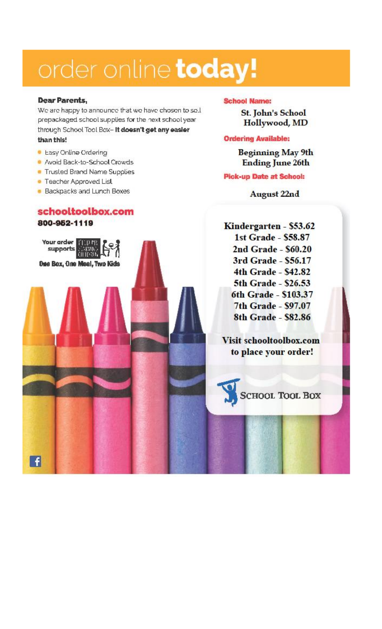## order online today!

#### Dear Parents,

We are happy to announce that we have chosen to sell prepackaged school supplies for the next school year through School Tool Box- It doesn't get any easier than this!

- **C** Easy Online Ordering
- Avoid Back-to-School Crowds
- Trusted Brand Name Supplies
- Teacher Approved List

Your arder **HOU** h supports

 $\mathbf{f}$ 

**Backpacks and Lunch Boxes** 

#### schooltoolbox.com 800-952-1119

Dee Box, One Meal, Two Kids

#### **School Name:**

**St. John's School** Hollywood, MD

#### **Ordering Available:**

**Beginning May 9th Ending June 26th** 

#### **Pick-up Date at School:**

**August 22nd** 

Kindergarten - \$53.62 1st Grade - \$58.87 2nd Grade - \$60.20 3rd Grade - \$56.17 4th Grade - \$42.82 5th Grade - \$26.53 6th Grade - \$103.37 7th Grade - \$97.07 8th Grade - \$82.86

**Visit schooltoolbox.com** to place your order!